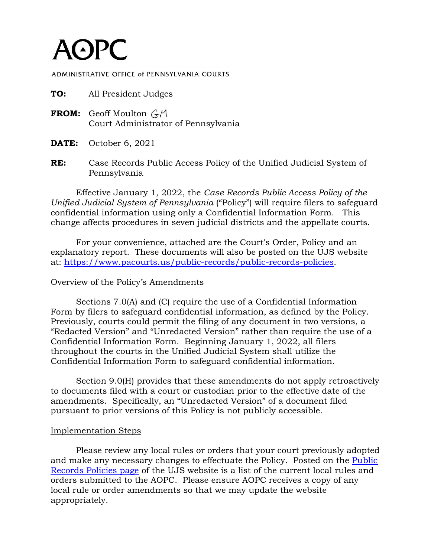## $A$  $P$  $C$

ADMINISTRATIVE OFFICE of PENNSYLVANIA COURTS

| TO: | All President Judges                                                                 |
|-----|--------------------------------------------------------------------------------------|
|     | <b>FROM:</b> Geoff Moulton $\zeta_{\gamma}$ M<br>Court Administrator of Pennsylvania |
|     | <b>DATE:</b> October 6, 2021                                                         |

**RE:** Case Records Public Access Policy of the Unified Judicial System of Pennsylvania

Effective January 1, 2022, the *Case Records Public Access Policy of the Unified Judicial System of Pennsylvania* ("Policy") will require filers to safeguard confidential information using only a Confidential Information Form. This change affects procedures in seven judicial districts and the appellate courts.

For your convenience, attached are the Court's Order, Policy and an explanatory report. These documents will also be posted on the UJS website [at: https://www.pacourts.us/public-records/public-records-polic](https://www.pacourts.us/public-records/public-records-policies)ies.

## Overview of the Policy's Amendments

Sections 7.0(A) and (C) require the use of a Confidential Information Form by filers to safeguard confidential information, as defined by the Policy. Previously, courts could permit the filing of any document in two versions, a "Redacted Version" and "Unredacted Version" rather than require the use of a Confidential Information Form. Beginning January 1, 2022, all filers throughout the courts in the Unified Judicial System shall utilize the Confidential Information Form to safeguard confidential information.

Section 9.0(H) provides that these amendments do not apply retroactively to documents filed with a court or custodian prior to the effective date of the amendments. Specifically, an "Unredacted Version" of a document filed pursuant to prior versions of this Policy is not publicly accessible.

## Implementation Steps

Please review any local rules or orders that your court previously adopted and make any necessary changes to effectuate the Policy. Posted on the [Public](https://www.pacourts.us/public-records/public-records-policies)  [Records Policies page](https://www.pacourts.us/public-records/public-records-policies) of the UJS website is a list of the current local rules and orders submitted to the AOPC. Please ensure AOPC receives a copy of any local rule or order amendments so that we may update the website appropriately.